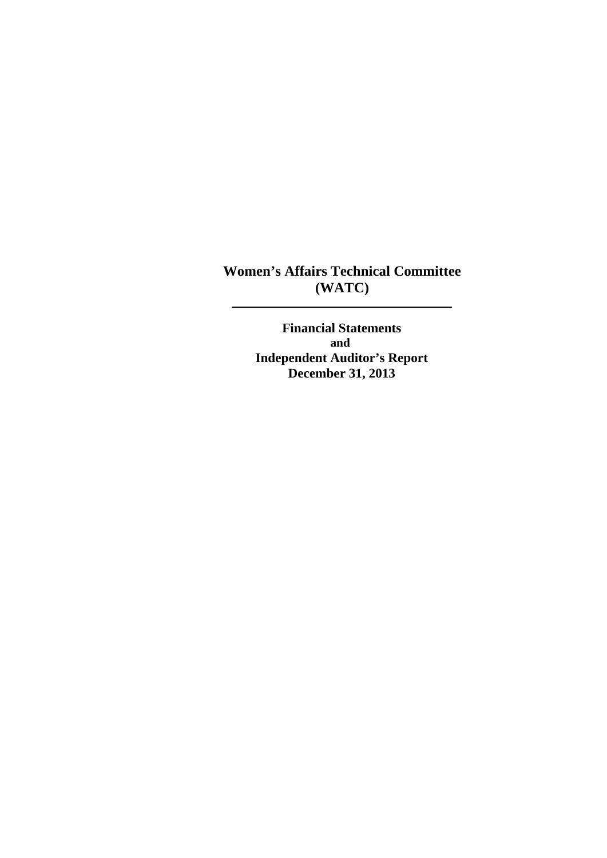**Women's Affairs Technical Committee (WATC)** 

> **Financial Statements and Independent Auditor's Report December 31, 2013**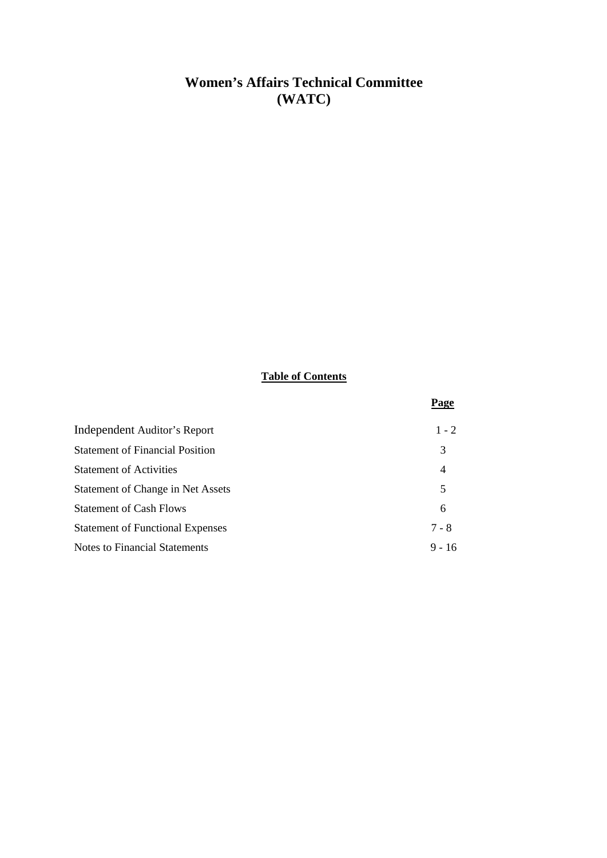## **Women's Affairs Technical Committee (WATC)**

## **Table of Contents**

|                                         | Page           |
|-----------------------------------------|----------------|
| Independent Auditor's Report            | $1 - 2$        |
| <b>Statement of Financial Position</b>  | 3              |
| <b>Statement of Activities</b>          | $\overline{4}$ |
| Statement of Change in Net Assets       | 5              |
| <b>Statement of Cash Flows</b>          | 6              |
| <b>Statement of Functional Expenses</b> | $7 - 8$        |
| Notes to Financial Statements           | $9 - 16$       |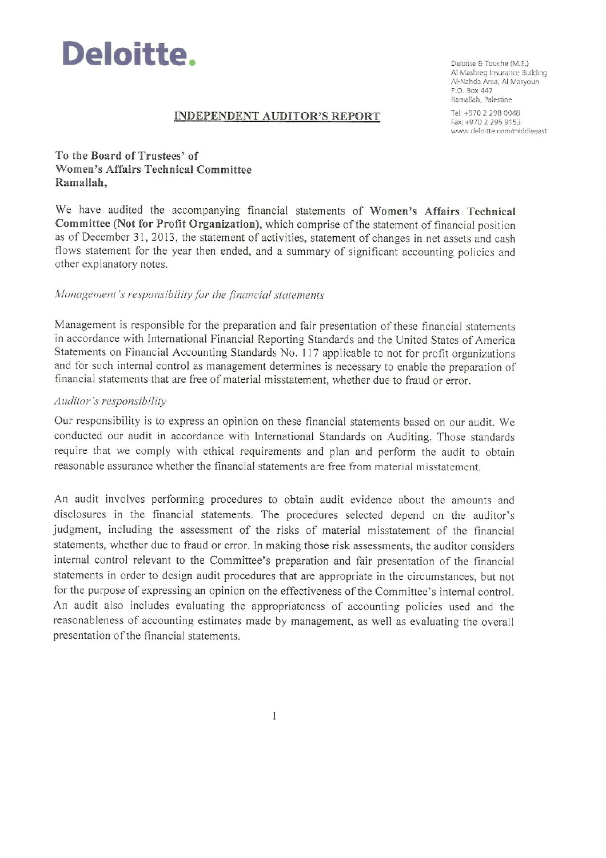

Deloitte & Touche (M.E.) Al Mashreg Insurance Building Al-Nahda Area, Al Masyoun  $P \cap R$  ox  $\Delta$ 47 Ramallah, Palestine

#### **INDEPENDENT AUDITOR'S REPORT**

Tel: +970 2 298 0048 Fax: +970 2 295 9153 www.deloitte.com/middleeast

#### To the Board of Trustees' of Women's Affairs Technical Committee Ramallah,

We have audited the accompanying financial statements of Women's Affairs Technical Committee (Not for Profit Organization), which comprise of the statement of financial position as of December 31, 2013, the statement of activities, statement of changes in net assets and cash flows statement for the year then ended, and a summary of significant accounting policies and other explanatory notes.

#### Management's responsibility for the financial statements

Management is responsible for the preparation and fair presentation of these financial statements in accordance with International Financial Reporting Standards and the United States of America Statements on Financial Accounting Standards No. 117 applicable to not for profit organizations and for such internal control as management determines is necessary to enable the preparation of financial statements that are free of material misstatement, whether due to fraud or error.

#### Auditor's responsibility

Our responsibility is to express an opinion on these financial statements based on our audit. We conducted our audit in accordance with International Standards on Auditing. Those standards require that we comply with ethical requirements and plan and perform the audit to obtain reasonable assurance whether the financial statements are free from material misstatement.

An audit involves performing procedures to obtain audit evidence about the amounts and disclosures in the financial statements. The procedures selected depend on the auditor's judgment, including the assessment of the risks of material misstatement of the financial statements, whether due to fraud or error. In making those risk assessments, the auditor considers internal control relevant to the Committee's preparation and fair presentation of the financial statements in order to design audit procedures that are appropriate in the circumstances, but not for the purpose of expressing an opinion on the effectiveness of the Committee's internal control. An audit also includes evaluating the appropriateness of accounting policies used and the reasonableness of accounting estimates made by management, as well as evaluating the overall presentation of the financial statements.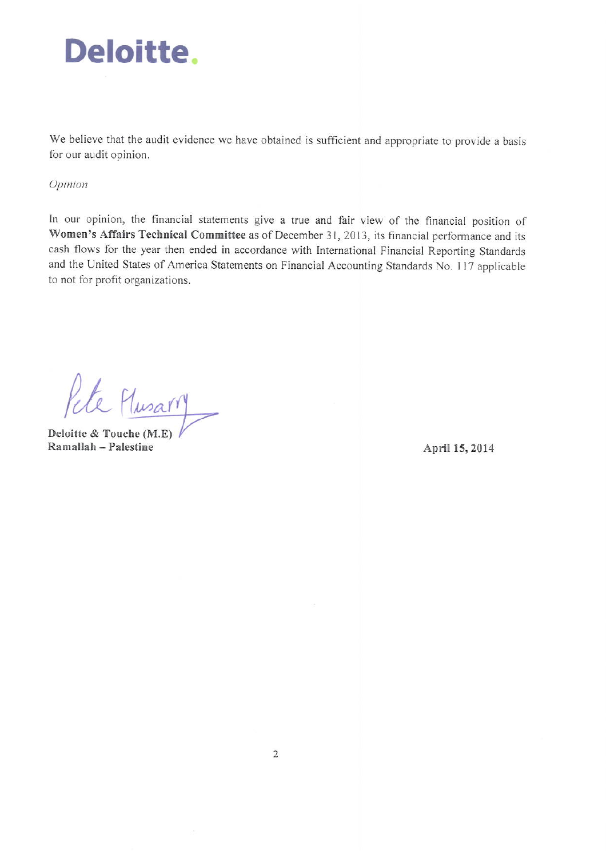

We believe that the audit evidence we have obtained is sufficient and appropriate to provide a basis for our audit opinion.

#### Opinion

In our opinion, the financial statements give a true and fair view of the financial position of Women's Affairs Technical Committee as of December 31, 2013, its financial performance and its cash flows for the year then ended in accordance with International Financial Reporting Standards and the United States of America Statements on Financial Accounting Standards No. 117 applicable to not for profit organizations.

Pete Musary

Deloitte & Touche (M.E) Ramallah - Palestine

April 15, 2014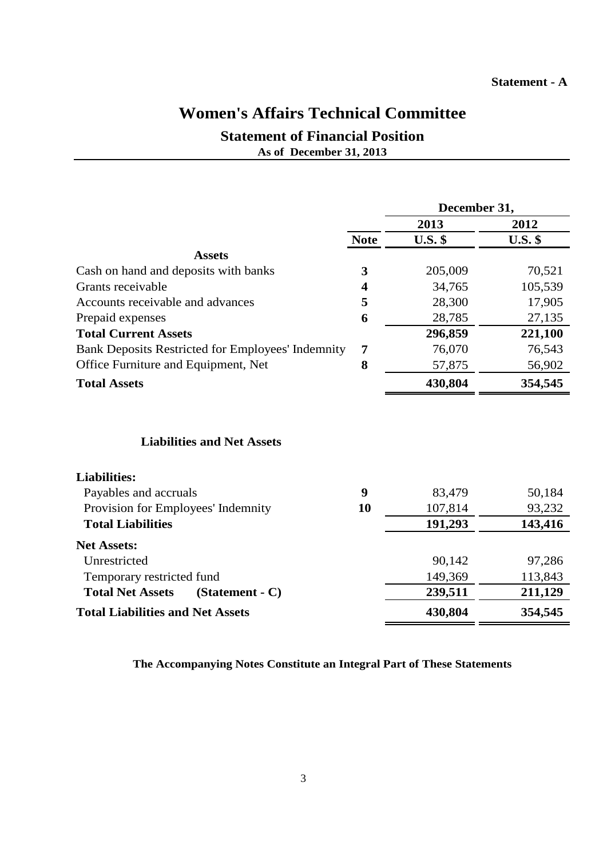#### **Statement - A**

## **Women's Affairs Technical Committee**

## **Statement of Financial Position As of December 31, 2013**

|                                                          |                         | December 31,   |                |
|----------------------------------------------------------|-------------------------|----------------|----------------|
|                                                          |                         | 2013           | 2012           |
|                                                          | <b>Note</b>             | <b>U.S.</b> \$ | <b>U.S.</b> \$ |
| <b>Assets</b>                                            |                         |                |                |
| Cash on hand and deposits with banks                     | 3                       | 205,009        | 70,521         |
| Grants receivable                                        | $\overline{\mathbf{4}}$ | 34,765         | 105,539        |
| Accounts receivable and advances                         | 5                       | 28,300         | 17,905         |
| Prepaid expenses                                         | 6                       | 28,785         | 27,135         |
| <b>Total Current Assets</b>                              |                         | 296,859        | 221,100        |
| <b>Bank Deposits Restricted for Employees' Indemnity</b> | 7                       | 76,070         | 76,543         |
| Office Furniture and Equipment, Net                      | 8                       | 57,875         | 56,902         |
| <b>Total Assets</b>                                      |                         | 430,804        | 354,545        |
| <b>Liabilities and Net Assets</b>                        |                         |                |                |
| <b>Liabilities:</b>                                      |                         |                |                |
| Payables and accruals                                    | 9                       | 83,479         | 50,184         |
| Provision for Employees' Indemnity                       | 10                      | 107,814        | 93,232         |
| <b>Total Liabilities</b>                                 |                         | 191,293        | 143,416        |
| <b>Net Assets:</b>                                       |                         |                |                |
| Unrestricted                                             |                         | 90,142         | 97,286         |
| Temporary restricted fund                                |                         | 149,369        | 113,843        |
| <b>Total Net Assets</b><br>$(Statement - C)$             |                         | 239,511        | 211,129        |
| <b>Total Liabilities and Net Assets</b>                  |                         | 430,804        | 354,545        |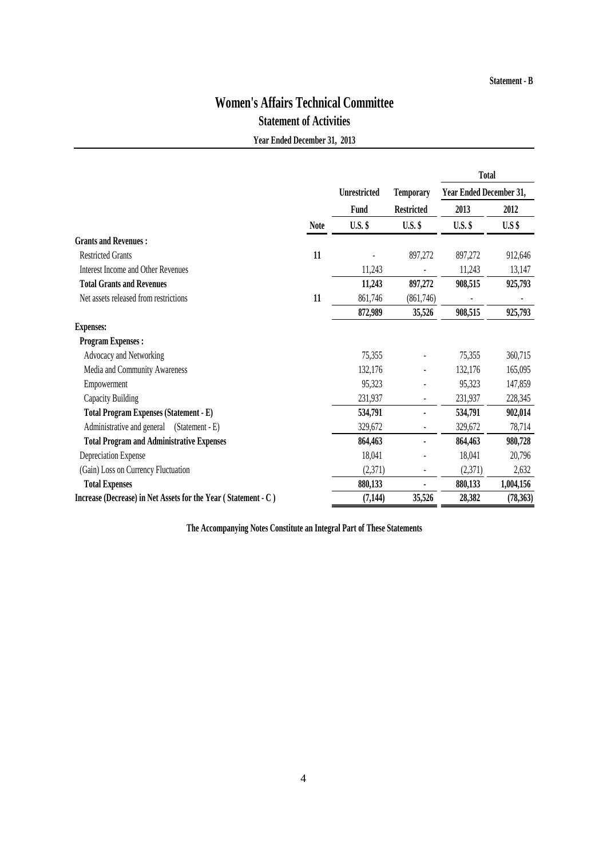# **Women's Affairs Technical Committee**

## **Statement of Activities**

**Year Ended December 31, 2013**

|                                                                |             |                     |                   | <b>Total</b>            |           |
|----------------------------------------------------------------|-------------|---------------------|-------------------|-------------------------|-----------|
|                                                                |             | <b>Unrestricted</b> | <b>Temporary</b>  | Year Ended December 31, |           |
|                                                                |             | Fund                | <b>Restricted</b> | 2013                    | 2012      |
|                                                                | <b>Note</b> | <b>U.S.</b> \$      | <b>U.S.</b> \$    | $U.S.$ \$               | $U.S$ \$  |
| <b>Grants and Revenues:</b>                                    |             |                     |                   |                         |           |
| <b>Restricted Grants</b>                                       | 11          |                     | 897,272           | 897,272                 | 912,646   |
| Interest Income and Other Revenues                             |             | 11,243              |                   | 11,243                  | 13,147    |
| <b>Total Grants and Revenues</b>                               |             | 11,243              | 897,272           | 908,515                 | 925,793   |
| Net assets released from restrictions                          | 11          | 861,746             | (861,746)         |                         |           |
|                                                                |             | 872,989             | 35,526            | 908,515                 | 925,793   |
| <b>Expenses:</b>                                               |             |                     |                   |                         |           |
| <b>Program Expenses:</b>                                       |             |                     |                   |                         |           |
| Advocacy and Networking                                        |             | 75,355              |                   | 75,355                  | 360,715   |
| Media and Community Awareness                                  |             | 132,176             |                   | 132,176                 | 165,095   |
| Empowerment                                                    |             | 95,323              |                   | 95,323                  | 147,859   |
| Capacity Building                                              |             | 231,937             |                   | 231,937                 | 228,345   |
| Total Program Expenses (Statement - E)                         |             | 534,791             |                   | 534,791                 | 902,014   |
| Administrative and general<br>(Statement - E)                  |             | 329,672             |                   | 329,672                 | 78,714    |
| <b>Total Program and Administrative Expenses</b>               |             | 864,463             |                   | 864,463                 | 980,728   |
| Depreciation Expense                                           |             | 18,041              |                   | 18,041                  | 20,796    |
| (Gain) Loss on Currency Fluctuation                            |             | (2,371)             |                   | (2,371)                 | 2,632     |
| <b>Total Expenses</b>                                          |             | 880,133             |                   | 880,133                 | 1,004,156 |
| Increase (Decrease) in Net Assets for the Year (Statement - C) |             | (7, 144)            | 35,526            | 28,382                  | (78, 363) |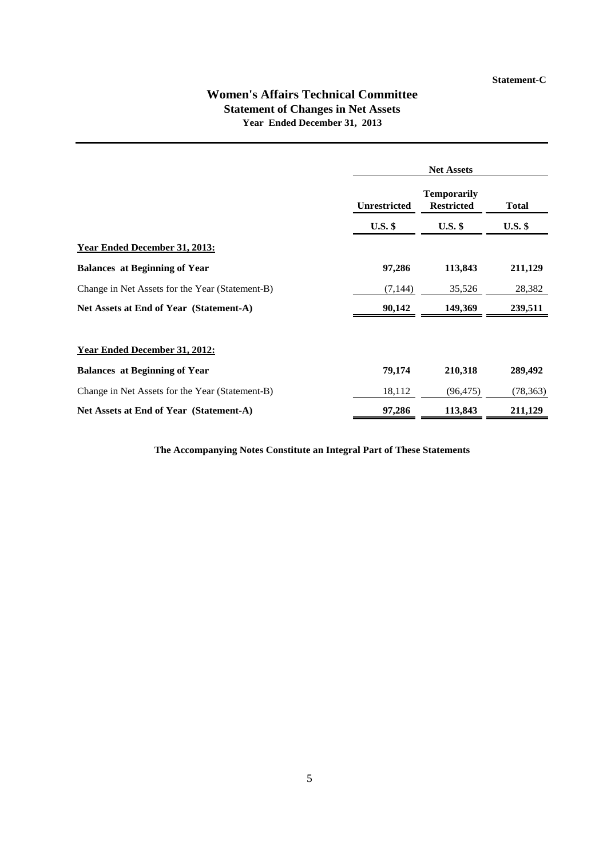### **Women's Affairs Technical Committee Statement of Changes in Net Assets Year Ended December 31, 2013**

|                                                 | <b>Net Assets</b>   |                                         |              |  |
|-------------------------------------------------|---------------------|-----------------------------------------|--------------|--|
|                                                 | <b>Unrestricted</b> | <b>Temporarily</b><br><b>Restricted</b> | <b>Total</b> |  |
|                                                 | $U.S.$ \$           | $U.S.$ \$                               | $U.S.$ \$    |  |
| <b>Year Ended December 31, 2013:</b>            |                     |                                         |              |  |
| <b>Balances at Beginning of Year</b>            | 97,286              | 113,843                                 | 211,129      |  |
| Change in Net Assets for the Year (Statement-B) | (7, 144)            | 35,526                                  | 28,382       |  |
| Net Assets at End of Year (Statement-A)         | 90,142              | 149,369                                 | 239,511      |  |
| Year Ended December 31, 2012:                   |                     |                                         |              |  |
| <b>Balances at Beginning of Year</b>            | 79,174              | 210,318                                 | 289,492      |  |
| Change in Net Assets for the Year (Statement-B) | 18,112              | (96, 475)                               | (78, 363)    |  |
| Net Assets at End of Year (Statement-A)         | 97,286              | 113,843                                 | 211,129      |  |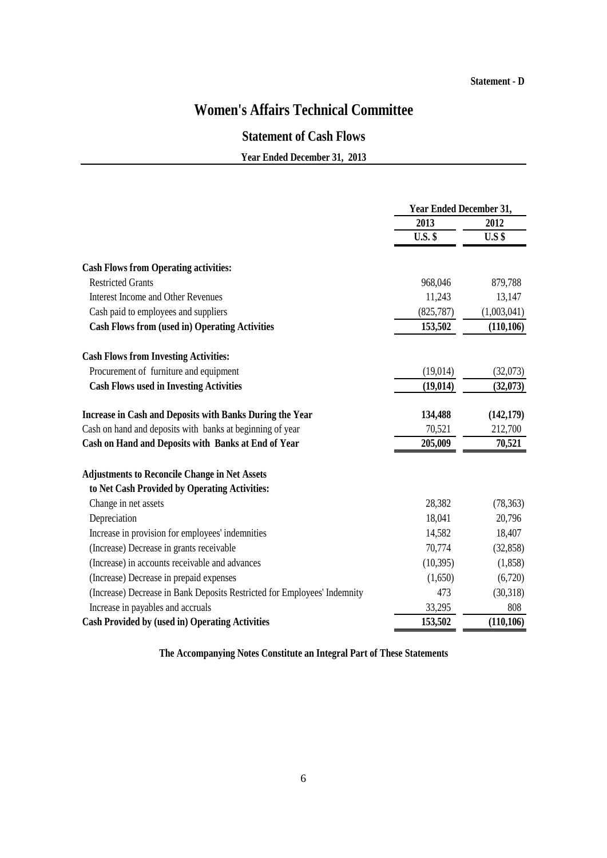#### **Statement - D**

## **Women's Affairs Technical Committee**

## **Statement of Cash Flows**

**Year Ended December 31, 2013**

|                                                                          | <b>Year Ended December 31,</b> |             |  |
|--------------------------------------------------------------------------|--------------------------------|-------------|--|
|                                                                          | 2013                           | 2012        |  |
|                                                                          | <b>U.S. \$</b>                 | $U.S$ \$    |  |
| <b>Cash Flows from Operating activities:</b>                             |                                |             |  |
| <b>Restricted Grants</b>                                                 | 968,046                        | 879,788     |  |
| <b>Interest Income and Other Revenues</b>                                | 11,243                         | 13,147      |  |
| Cash paid to employees and suppliers                                     | (825, 787)                     | (1,003,041) |  |
| <b>Cash Flows from (used in) Operating Activities</b>                    | 153,502                        | (110, 106)  |  |
| <b>Cash Flows from Investing Activities:</b>                             |                                |             |  |
| Procurement of furniture and equipment                                   | (19,014)                       | (32,073)    |  |
| <b>Cash Flows used in Investing Activities</b>                           | (19, 014)                      | (32,073)    |  |
| <b>Increase in Cash and Deposits with Banks During the Year</b>          | 134,488                        | (142, 179)  |  |
| Cash on hand and deposits with banks at beginning of year                | 70,521                         | 212,700     |  |
| Cash on Hand and Deposits with Banks at End of Year                      | 205,009                        | 70,521      |  |
| <b>Adjustments to Reconcile Change in Net Assets</b>                     |                                |             |  |
| to Net Cash Provided by Operating Activities:                            |                                |             |  |
| Change in net assets                                                     | 28,382                         | (78, 363)   |  |
| Depreciation                                                             | 18,041                         | 20,796      |  |
| Increase in provision for employees' indemnities                         | 14,582                         | 18,407      |  |
| (Increase) Decrease in grants receivable                                 | 70,774                         | (32, 858)   |  |
| (Increase) in accounts receivable and advances                           | (10, 395)                      | (1, 858)    |  |
| (Increase) Decrease in prepaid expenses                                  | (1,650)                        | (6,720)     |  |
| (Increase) Decrease in Bank Deposits Restricted for Employees' Indemnity | 473                            | (30,318)    |  |
| Increase in payables and accruals                                        | 33,295                         | 808         |  |
| <b>Cash Provided by (used in) Operating Activities</b>                   | 153,502                        | (110, 106)  |  |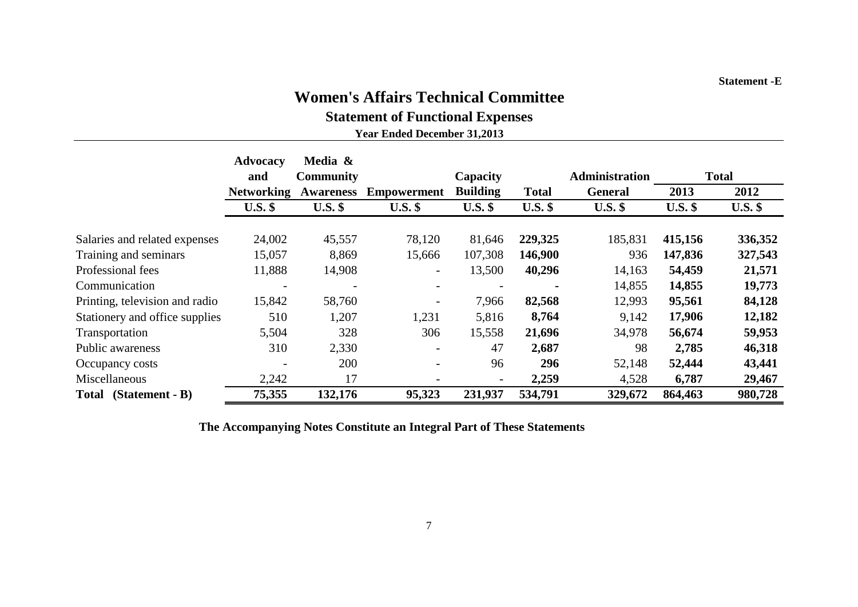# **Women's Affairs Technical Committee**

**Statement of Functional Expenses**

**Year Ended December 31,2013**

|                                   | Advocacy          | Media &          |                          |                 |              |                       |           |              |
|-----------------------------------|-------------------|------------------|--------------------------|-----------------|--------------|-----------------------|-----------|--------------|
|                                   | and               | <b>Community</b> |                          | Capacity        |              | <b>Administration</b> |           | <b>Total</b> |
|                                   | <b>Networking</b> | <b>Awareness</b> | <b>Empowerment</b>       | <b>Building</b> | <b>Total</b> | <b>General</b>        | 2013      | 2012         |
|                                   | $U.S.$ \$         | $U.S.$ \$        | $U.S.$ \$                | $U.S.$ \$       | $U.S.$ \$    | $U.S.$ \$             | $U.S.$ \$ | $U.S.$ \$    |
| Salaries and related expenses     | 24,002            | 45,557           | 78,120                   | 81,646          | 229,325      | 185,831               | 415,156   | 336,352      |
| Training and seminars             | 15,057            | 8,869            | 15,666                   | 107,308         | 146,900      | 936                   | 147,836   | 327,543      |
| Professional fees                 | 11,888            | 14,908           | $\overline{\phantom{a}}$ | 13,500          | 40,296       | 14,163                | 54,459    | 21,571       |
| Communication                     |                   |                  |                          |                 |              | 14,855                | 14,855    | 19,773       |
| Printing, television and radio    | 15,842            | 58,760           |                          | 7,966           | 82,568       | 12,993                | 95,561    | 84,128       |
| Stationery and office supplies    | 510               | 1,207            | 1,231                    | 5,816           | 8,764        | 9,142                 | 17,906    | 12,182       |
| Transportation                    | 5,504             | 328              | 306                      | 15,558          | 21,696       | 34,978                | 56,674    | 59,953       |
| Public awareness                  | 310               | 2,330            | $\overline{\phantom{a}}$ | 47              | 2,687        | 98                    | 2,785     | 46,318       |
| Occupancy costs                   |                   | 200              |                          | 96              | 296          | 52,148                | 52,444    | 43,441       |
| Miscellaneous                     | 2,242             | 17               |                          |                 | 2,259        | 4,528                 | 6,787     | 29,467       |
| $(Statement - B)$<br><b>Total</b> | 75,355            | 132,176          | 95,323                   | 231,937         | 534,791      | 329,672               | 864,463   | 980,728      |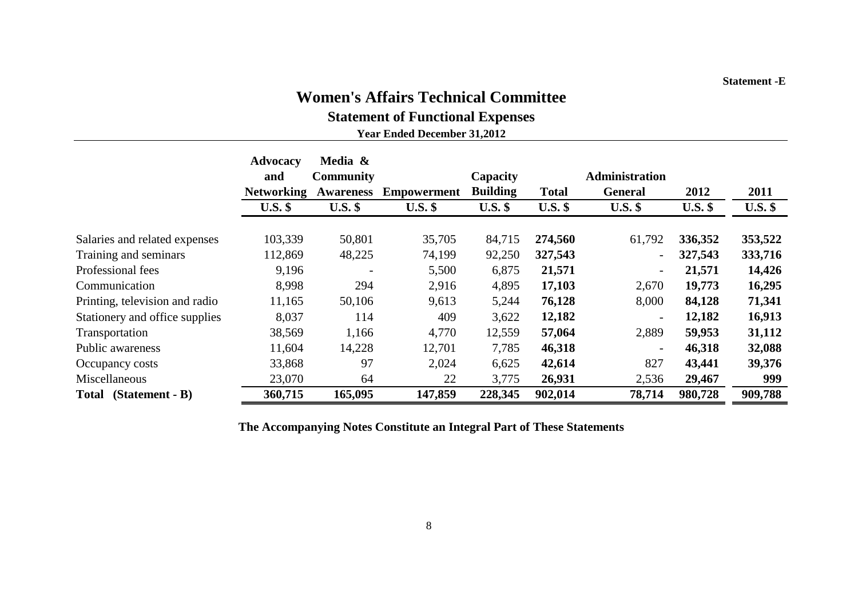#### **Statement -E**

## **Women's Affairs Technical Committee**

**Statement of Functional Expenses**

**Year Ended December 31,2012**

|                                | <b>Advocacy</b><br>and | Media &<br><b>Community</b> |                    | Capacity        |              | <b>Administration</b>    |           |           |
|--------------------------------|------------------------|-----------------------------|--------------------|-----------------|--------------|--------------------------|-----------|-----------|
|                                | <b>Networking</b>      | <b>Awareness</b>            | <b>Empowerment</b> | <b>Building</b> | <b>Total</b> | General                  | 2012      | 2011      |
|                                | $U.S.$ \$              | $U.S.$ \$                   | $U.S.$ \$          | $U.S.$ \$       | $U.S.$ \$    | $U.S.$ \$                | $U.S.$ \$ | $U.S.$ \$ |
| Salaries and related expenses  | 103,339                | 50,801                      | 35,705             | 84,715          | 274,560      | 61,792                   | 336,352   | 353,522   |
| Training and seminars          | 112,869                | 48,225                      | 74,199             | 92,250          | 327,543      |                          | 327,543   | 333,716   |
| Professional fees              | 9,196                  | $\overline{\phantom{a}}$    | 5,500              | 6,875           | 21,571       | $\overline{\phantom{a}}$ | 21,571    | 14,426    |
| Communication                  | 8,998                  | 294                         | 2,916              | 4,895           | 17,103       | 2,670                    | 19,773    | 16,295    |
| Printing, television and radio | 11,165                 | 50,106                      | 9,613              | 5,244           | 76,128       | 8,000                    | 84,128    | 71,341    |
| Stationery and office supplies | 8,037                  | 114                         | 409                | 3,622           | 12,182       | $\overline{\phantom{a}}$ | 12,182    | 16,913    |
| Transportation                 | 38,569                 | 1,166                       | 4,770              | 12,559          | 57,064       | 2,889                    | 59,953    | 31,112    |
| Public awareness               | 11,604                 | 14,228                      | 12,701             | 7,785           | 46,318       |                          | 46,318    | 32,088    |
| Occupancy costs                | 33,868                 | 97                          | 2,024              | 6,625           | 42,614       | 827                      | 43,441    | 39,376    |
| Miscellaneous                  | 23,070                 | 64                          | 22                 | 3,775           | 26,931       | 2,536                    | 29,467    | 999       |
| $(Statement - B)$<br>Total     | 360,715                | 165,095                     | 147,859            | 228,345         | 902,014      | 78,714                   | 980,728   | 909,788   |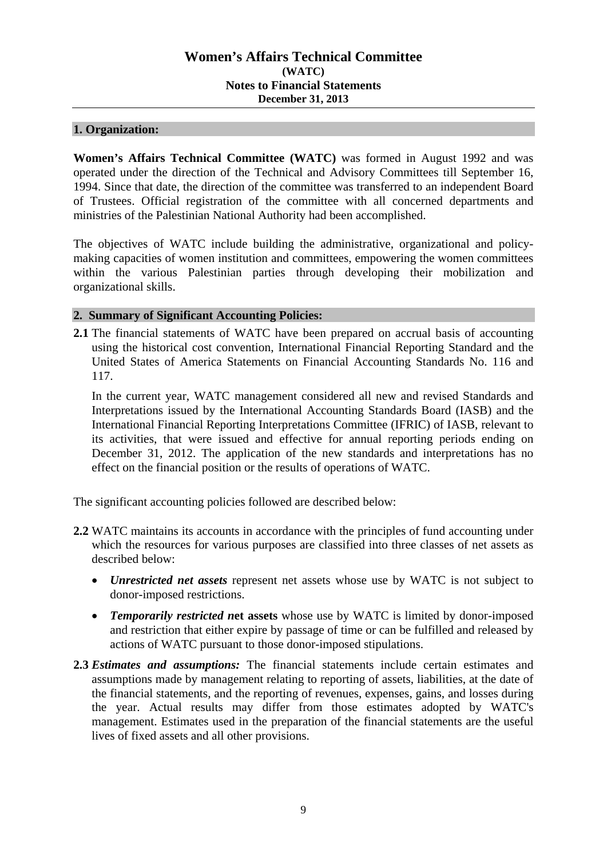### **1. Organization:**

**Women's Affairs Technical Committee (WATC)** was formed in August 1992 and was operated under the direction of the Technical and Advisory Committees till September 16, 1994. Since that date, the direction of the committee was transferred to an independent Board of Trustees. Official registration of the committee with all concerned departments and ministries of the Palestinian National Authority had been accomplished.

The objectives of WATC include building the administrative, organizational and policymaking capacities of women institution and committees, empowering the women committees within the various Palestinian parties through developing their mobilization and organizational skills.

## **2. Summary of Significant Accounting Policies:**

**2.1** The financial statements of WATC have been prepared on accrual basis of accounting using the historical cost convention, International Financial Reporting Standard and the United States of America Statements on Financial Accounting Standards No. 116 and 117.

In the current year, WATC management considered all new and revised Standards and Interpretations issued by the International Accounting Standards Board (IASB) and the International Financial Reporting Interpretations Committee (IFRIC) of IASB, relevant to its activities, that were issued and effective for annual reporting periods ending on December 31, 2012. The application of the new standards and interpretations has no effect on the financial position or the results of operations of WATC.

The significant accounting policies followed are described below:

- **2.2** WATC maintains its accounts in accordance with the principles of fund accounting under which the resources for various purposes are classified into three classes of net assets as described below:
	- *Unrestricted net assets* represent net assets whose use by WATC is not subject to donor-imposed restrictions.
	- *Temporarily restricted n***et assets** whose use by WATC is limited by donor-imposed and restriction that either expire by passage of time or can be fulfilled and released by actions of WATC pursuant to those donor-imposed stipulations.
- **2.3** *Estimates and assumptions:* The financial statements include certain estimates and assumptions made by management relating to reporting of assets, liabilities, at the date of the financial statements, and the reporting of revenues, expenses, gains, and losses during the year. Actual results may differ from those estimates adopted by WATC's management. Estimates used in the preparation of the financial statements are the useful lives of fixed assets and all other provisions.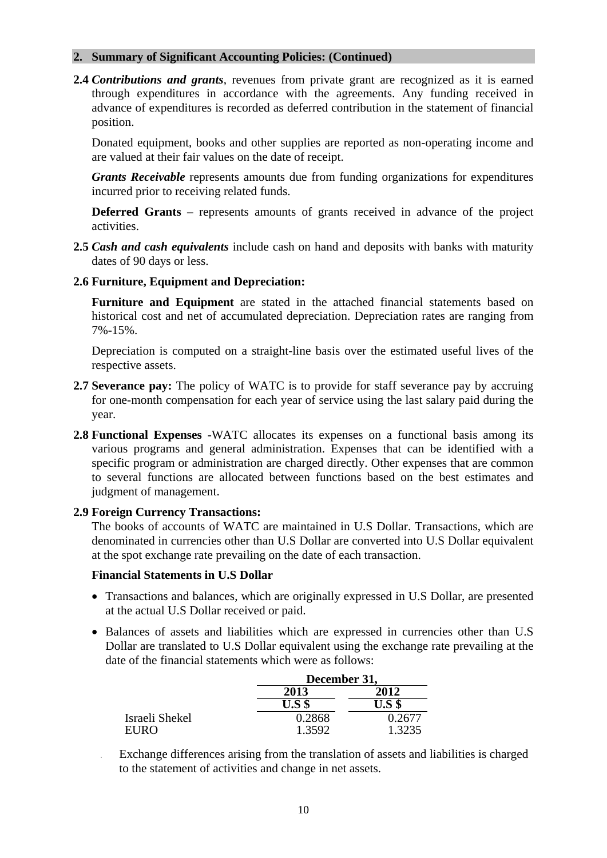#### **2. Summary of Significant Accounting Policies: (Continued)**

**2.4** *Contributions and grants*, revenues from private grant are recognized as it is earned through expenditures in accordance with the agreements. Any funding received in advance of expenditures is recorded as deferred contribution in the statement of financial position.

Donated equipment, books and other supplies are reported as non-operating income and are valued at their fair values on the date of receipt.

*Grants Receivable* represents amounts due from funding organizations for expenditures incurred prior to receiving related funds.

**Deferred Grants** – represents amounts of grants received in advance of the project activities.

**2.5** *Cash and cash equivalents* include cash on hand and deposits with banks with maturity dates of 90 days or less.

#### **2.6 Furniture, Equipment and Depreciation:**

**Furniture and Equipment** are stated in the attached financial statements based on historical cost and net of accumulated depreciation. Depreciation rates are ranging from 7%-15%.

Depreciation is computed on a straight-line basis over the estimated useful lives of the respective assets.

- **2.7 Severance pay:** The policy of WATC is to provide for staff severance pay by accruing for one-month compensation for each year of service using the last salary paid during the year.
- **2.8 Functional Expenses** -WATC allocates its expenses on a functional basis among its various programs and general administration. Expenses that can be identified with a specific program or administration are charged directly. Other expenses that are common to several functions are allocated between functions based on the best estimates and judgment of management.

#### **2.9 Foreign Currency Transactions:**

The books of accounts of WATC are maintained in U.S Dollar. Transactions, which are denominated in currencies other than U.S Dollar are converted into U.S Dollar equivalent at the spot exchange rate prevailing on the date of each transaction.

#### **Financial Statements in U.S Dollar**

- Transactions and balances, which are originally expressed in U.S Dollar, are presented at the actual U.S Dollar received or paid.
- Balances of assets and liabilities which are expressed in currencies other than U.S Dollar are translated to U.S Dollar equivalent using the exchange rate prevailing at the date of the financial statements which were as follows:

|                | December 31, |        |  |
|----------------|--------------|--------|--|
|                | 2013         | 2012   |  |
|                | $U.S$ \$     |        |  |
| Israeli Shekel | 0.2868       |        |  |
| EURO           | 1.3592       | 1.3235 |  |

 Exchange differences arising from the translation of assets and liabilities is charged to the statement of activities and change in net assets.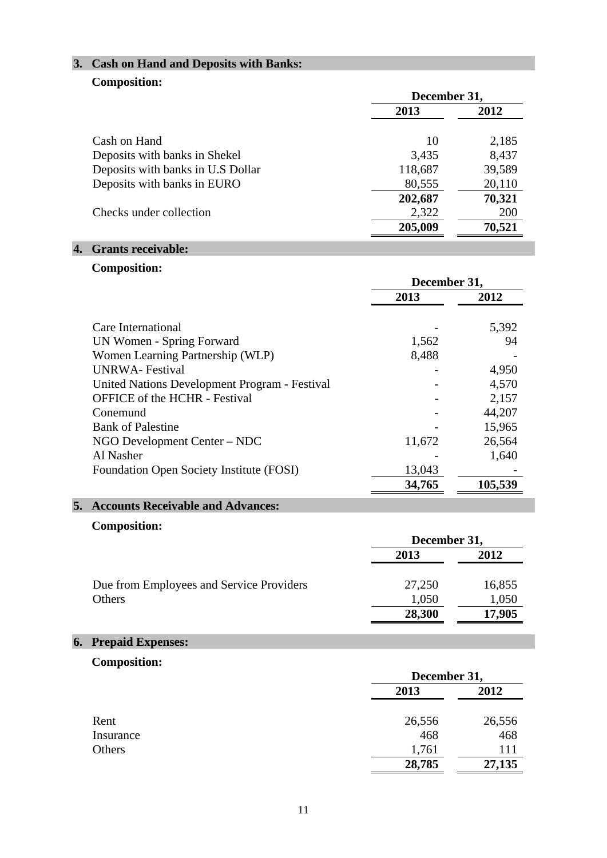## **3. Cash on Hand and Deposits with Banks:**

## **Composition:**

|                                   | December 31, |        |  |
|-----------------------------------|--------------|--------|--|
|                                   | 2013         | 2012   |  |
| Cash on Hand                      | 10           | 2,185  |  |
| Deposits with banks in Shekel     | 3,435        | 8,437  |  |
| Deposits with banks in U.S Dollar | 118,687      | 39,589 |  |
| Deposits with banks in EURO       | 80,555       | 20,110 |  |
|                                   | 202,687      | 70,321 |  |
| Checks under collection           | 2,322        | 200    |  |
|                                   | 205,009      | 70,521 |  |

## **4. Grants receivable:**

## **Composition:**

|                                               | December 31, |         |  |
|-----------------------------------------------|--------------|---------|--|
|                                               | 2013         | 2012    |  |
| Care International                            |              | 5,392   |  |
| UN Women - Spring Forward                     | 1,562        | 94      |  |
| Women Learning Partnership (WLP)              | 8,488        |         |  |
| UNRWA-Festival                                |              | 4,950   |  |
| United Nations Development Program - Festival |              | 4,570   |  |
| <b>OFFICE</b> of the HCHR - Festival          |              | 2,157   |  |
| Conemund                                      |              | 44,207  |  |
| <b>Bank of Palestine</b>                      |              | 15,965  |  |
| NGO Development Center – NDC                  | 11,672       | 26,564  |  |
| Al Nasher                                     |              | 1,640   |  |
| Foundation Open Society Institute (FOSI)      | 13,043       |         |  |
|                                               | 34,765       | 105,539 |  |

## **5. Accounts Receivable and Advances:**

## **Composition:**

|                                          | December 31, |        |  |
|------------------------------------------|--------------|--------|--|
|                                          | 2013         | 2012   |  |
| Due from Employees and Service Providers | 27,250       | 16,855 |  |
| Others                                   | 1,050        | 1,050  |  |
|                                          | 28,300       | 17,905 |  |

## **6. Prepaid Expenses:**

## **Composition:**

|           | December 31, |        |  |
|-----------|--------------|--------|--|
|           | 2013         | 2012   |  |
| Rent      | 26,556       | 26,556 |  |
| Insurance | 468          | 468    |  |
| Others    | 1,761        | 111    |  |
|           | 28,785       | 27,135 |  |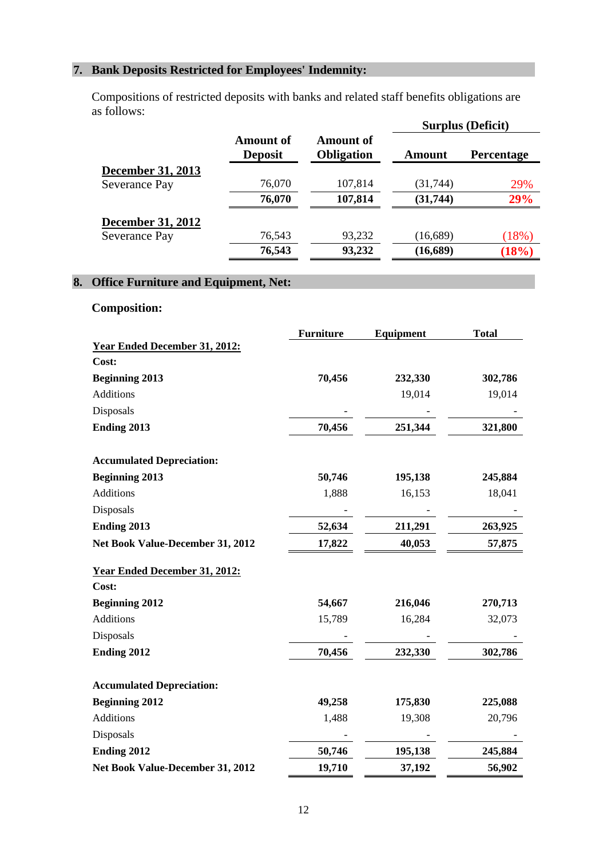## **7. Bank Deposits Restricted for Employees' Indemnity:**

Compositions of restricted deposits with banks and related staff benefits obligations are as follows:

|                             |                                       |           | <b>Surplus (Deficit)</b> |
|-----------------------------|---------------------------------------|-----------|--------------------------|
| Amount of<br><b>Deposit</b> | <b>Amount of</b><br><b>Obligation</b> | Amount    | <b>Percentage</b>        |
|                             |                                       |           |                          |
| 76,070                      | 107,814                               | (31, 744) | 29%                      |
| 76,070                      | 107,814                               | (31, 744) | 29%                      |
|                             |                                       |           |                          |
| 76,543                      | 93,232                                | (16,689)  | (18%)                    |
| 76,543                      | 93,232                                | (16,689)  | (18%)                    |
|                             |                                       |           |                          |

## **8. Office Furniture and Equipment, Net:**

## **Composition:**

|                                      | <b>Furniture</b> | Equipment | <b>Total</b> |
|--------------------------------------|------------------|-----------|--------------|
| <b>Year Ended December 31, 2012:</b> |                  |           |              |
| Cost:                                |                  |           |              |
| <b>Beginning 2013</b>                | 70,456           | 232,330   | 302,786      |
| <b>Additions</b>                     |                  | 19,014    | 19,014       |
| Disposals                            |                  |           |              |
| Ending 2013                          | 70,456           | 251,344   | 321,800      |
| <b>Accumulated Depreciation:</b>     |                  |           |              |
| <b>Beginning 2013</b>                | 50,746           | 195,138   | 245,884      |
| Additions                            | 1,888            | 16,153    | 18,041       |
| Disposals                            |                  |           |              |
| Ending 2013                          | 52,634           | 211,291   | 263,925      |
| Net Book Value-December 31, 2012     | 17,822           | 40,053    | 57,875       |
| <b>Year Ended December 31, 2012:</b> |                  |           |              |
| Cost:                                |                  |           |              |
| <b>Beginning 2012</b>                | 54,667           | 216,046   | 270,713      |
| Additions                            | 15,789           | 16,284    | 32,073       |
| Disposals                            |                  |           |              |
| Ending 2012                          | 70,456           | 232,330   | 302,786      |
| <b>Accumulated Depreciation:</b>     |                  |           |              |
| <b>Beginning 2012</b>                | 49,258           | 175,830   | 225,088      |
| Additions                            | 1,488            | 19,308    | 20,796       |
| Disposals                            |                  |           |              |
| Ending 2012                          | 50,746           | 195,138   | 245,884      |
| Net Book Value-December 31, 2012     | 19,710           | 37,192    | 56,902       |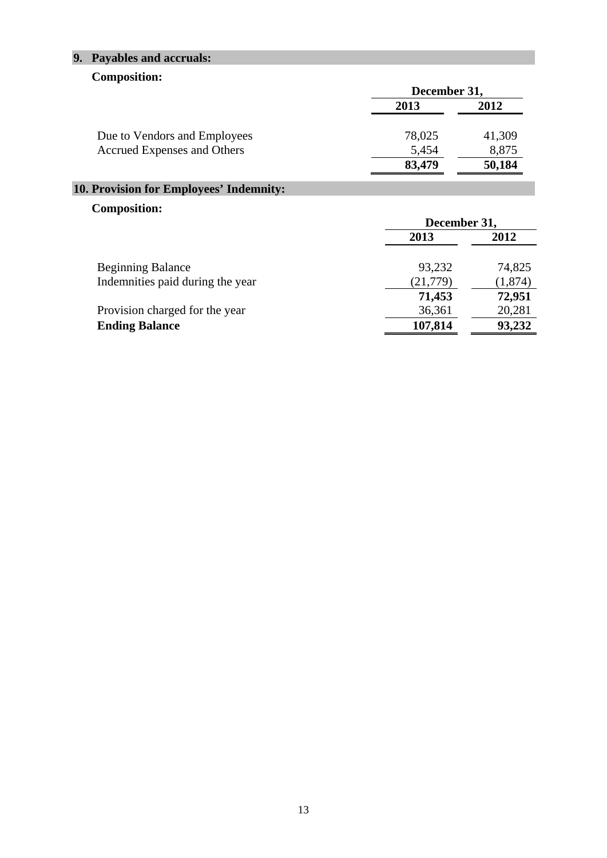## **9. Payables and accruals:**

## **Composition:**

|                              | December 31, |        |  |
|------------------------------|--------------|--------|--|
|                              | 2013         | 2012   |  |
| Due to Vendors and Employees | 78,025       | 41,309 |  |
| Accrued Expenses and Others  | 5,454        | 8,875  |  |
|                              | 83,479       | 50,184 |  |

## **10. Provision for Employees' Indemnity:**

## **Composition:**

|                                  | December 31, |          |  |
|----------------------------------|--------------|----------|--|
|                                  | 2013         | 2012     |  |
| <b>Beginning Balance</b>         | 93,232       | 74,825   |  |
| Indemnities paid during the year | (21, 779)    | (1, 874) |  |
|                                  | 71,453       | 72,951   |  |
| Provision charged for the year   | 36,361       | 20,281   |  |
| <b>Ending Balance</b>            | 107,814      | 93,232   |  |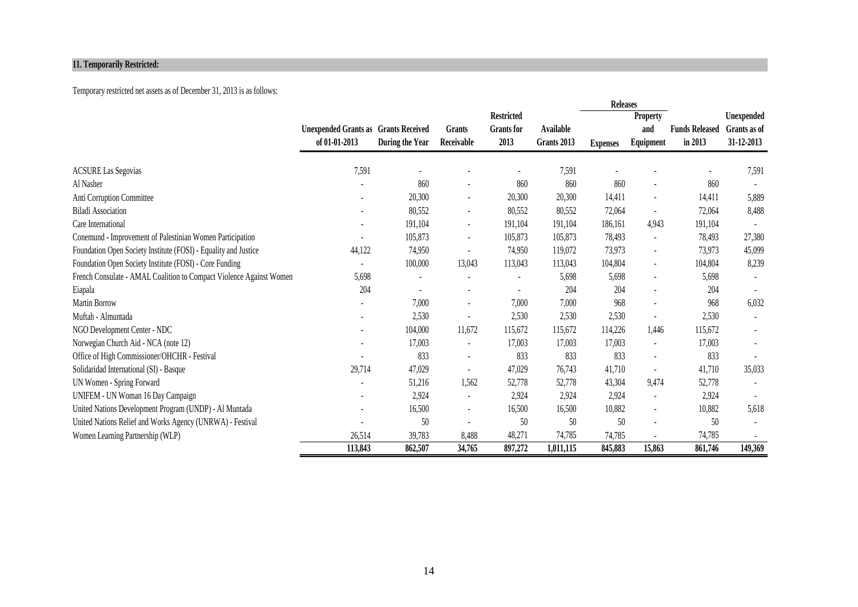#### **11. Temporarily Restricted:**

### Temporary restricted net assets as of December 31, 2013 is as follows:

|                                                                     |                                             |                 |                          |                   |             | <b>Releases</b> |                          |                       |              |
|---------------------------------------------------------------------|---------------------------------------------|-----------------|--------------------------|-------------------|-------------|-----------------|--------------------------|-----------------------|--------------|
|                                                                     |                                             |                 |                          | <b>Restricted</b> |             |                 | <b>Property</b>          |                       | Unexpended   |
|                                                                     | <b>Unexpended Grants as Grants Received</b> |                 | Grants                   | <b>Grants</b> for | Available   |                 | and                      | <b>Funds Released</b> | Grants as of |
|                                                                     | of 01-01-2013                               | During the Year | Receivable               | 2013              | Grants 2013 | <b>Expenses</b> | Equipment                | in 2013               | 31-12-2013   |
|                                                                     |                                             |                 |                          |                   | 7,591       |                 |                          |                       |              |
| <b>ACSURE Las Segovias</b>                                          | 7,591                                       | 860             |                          |                   |             |                 |                          |                       | 7,591        |
| Al Nasher                                                           |                                             |                 | $\overline{\phantom{a}}$ | 860               | 860         | 860             |                          | 860                   |              |
| Anti Corruption Committee                                           |                                             | 20,300          | $\blacksquare$           | 20,300            | 20,300      | 14,411          | $\blacksquare$           | 14,411                | 5,889        |
| <b>Biladi Association</b>                                           |                                             | 80,552          | $\blacksquare$           | 80,552            | 80,552      | 72,064          | $\blacksquare$           | 72,064                | 8,488        |
| Care International                                                  |                                             | 191,104         | $\overline{\phantom{a}}$ | 191,104           | 191,104     | 186,161         | 4.943                    | 191,104               |              |
| Conemund - Improvement of Palestinian Women Participation           |                                             | 105,873         | $\blacksquare$           | 105,873           | 105,873     | 78,493          | $\blacksquare$           | 78,493                | 27,380       |
| Foundation Open Society Institute (FOSI) - Equality and Justice     | 44,122                                      | 74,950          | $\blacksquare$           | 74,950            | 119,072     | 73,973          | $\blacksquare$           | 73,973                | 45,099       |
| Foundation Open Society Institute (FOSI) - Core Funding             |                                             | 100,000         | 13,043                   | 113,043           | 113,043     | 104,804         | $\blacksquare$           | 104,804               | 8,239        |
| French Consulate - AMAL Coalition to Compact Violence Against Women | 5,698                                       |                 |                          |                   | 5,698       | 5,698           | $\overline{\phantom{a}}$ | 5,698                 |              |
| Eiapala                                                             | 204                                         |                 |                          |                   | 204         | 204             | $\blacksquare$           | 204                   |              |
| Martin Borrow                                                       |                                             | 7,000           | $\blacksquare$           | 7,000             | 7,000       | 968             | $\blacksquare$           | 968                   | 6,032        |
| Muftah - Almuntada                                                  |                                             | 2,530           | $\blacksquare$           | 2,530             | 2,530       | 2,530           | $\blacksquare$           | 2,530                 | $\sim$       |
| NGO Development Center - NDC                                        |                                             | 104,000         | 11,672                   | 115,672           | 115,672     | 114,226         | 1,446                    | 115,672               |              |
| Norwegian Church Aid - NCA (note 12)                                |                                             | 17,003          |                          | 17,003            | 17,003      | 17,003          | $\blacksquare$           | 17,003                |              |
| Office of High Commissioner/OHCHR - Festival                        |                                             | 833             | $\blacksquare$           | 833               | 833         | 833             | $\blacksquare$           | 833                   |              |
| Solidaridad International (SI) - Basque                             | 29,714                                      | 47,029          | $\blacksquare$           | 47,029            | 76,743      | 41,710          | $\blacksquare$           | 41,710                | 35,033       |
| UN Women - Spring Forward                                           |                                             | 51,216          | 1,562                    | 52,778            | 52,778      | 43,304          | 9,474                    | 52,778                |              |
| UNIFEM - UN Woman 16 Day Campaign                                   |                                             | 2,924           | $\overline{\phantom{a}}$ | 2,924             | 2,924       | 2,924           | $\overline{\phantom{a}}$ | 2,924                 |              |
| United Nations Development Program (UNDP) - Al Muntada              |                                             | 16,500          | $\overline{a}$           | 16,500            | 16,500      | 10,882          | $\overline{\phantom{a}}$ | 10,882                | 5,618        |
| United Nations Relief and Works Agency (UNRWA) - Festival           |                                             | 50              | $\overline{\phantom{a}}$ | 50                | 50          | 50              | $\blacksquare$           | 50                    |              |
| Women Learning Partnership (WLP)                                    | 26,514                                      | 39,783          | 8,488                    | 48,271            | 74,785      | 74,785          |                          | 74,785                |              |
|                                                                     | 113,843                                     | 862,507         | 34,765                   | 897,272           | 1,011,115   | 845,883         | 15,863                   | 861,746               | 149,369      |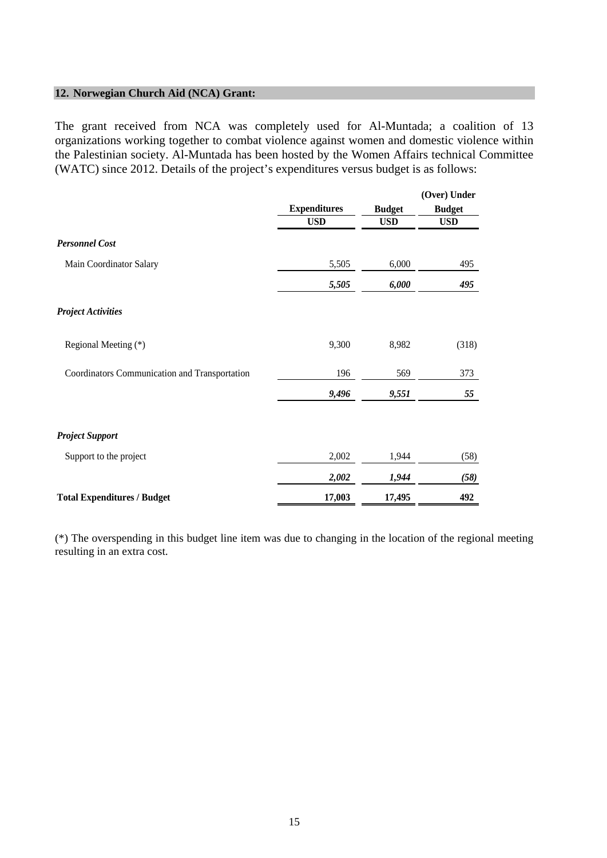### **12. Norwegian Church Aid (NCA) Grant:**

The grant received from NCA was completely used for Al-Muntada; a coalition of 13 organizations working together to combat violence against women and domestic violence within the Palestinian society. Al-Muntada has been hosted by the Women Affairs technical Committee (WATC) since 2012. Details of the project's expenditures versus budget is as follows:

|                                               |                     |               | (Over) Under  |  |
|-----------------------------------------------|---------------------|---------------|---------------|--|
|                                               | <b>Expenditures</b> | <b>Budget</b> | <b>Budget</b> |  |
|                                               | <b>USD</b>          | <b>USD</b>    | <b>USD</b>    |  |
| <b>Personnel Cost</b>                         |                     |               |               |  |
| Main Coordinator Salary                       | 5,505               | 6,000         | 495           |  |
|                                               | 5,505               | 6,000         | 495           |  |
| <b>Project Activities</b>                     |                     |               |               |  |
| Regional Meeting (*)                          | 9,300               | 8,982         | (318)         |  |
| Coordinators Communication and Transportation | 196                 | 569           | 373           |  |
|                                               | 9,496               | 9,551         | 55            |  |
| <b>Project Support</b>                        |                     |               |               |  |
| Support to the project                        | 2,002               | 1,944         | (58)          |  |
|                                               | 2,002               | 1,944         | (58)          |  |
| <b>Total Expenditures / Budget</b>            | 17,003              | 17,495        | 492           |  |

(\*) The overspending in this budget line item was due to changing in the location of the regional meeting resulting in an extra cost.